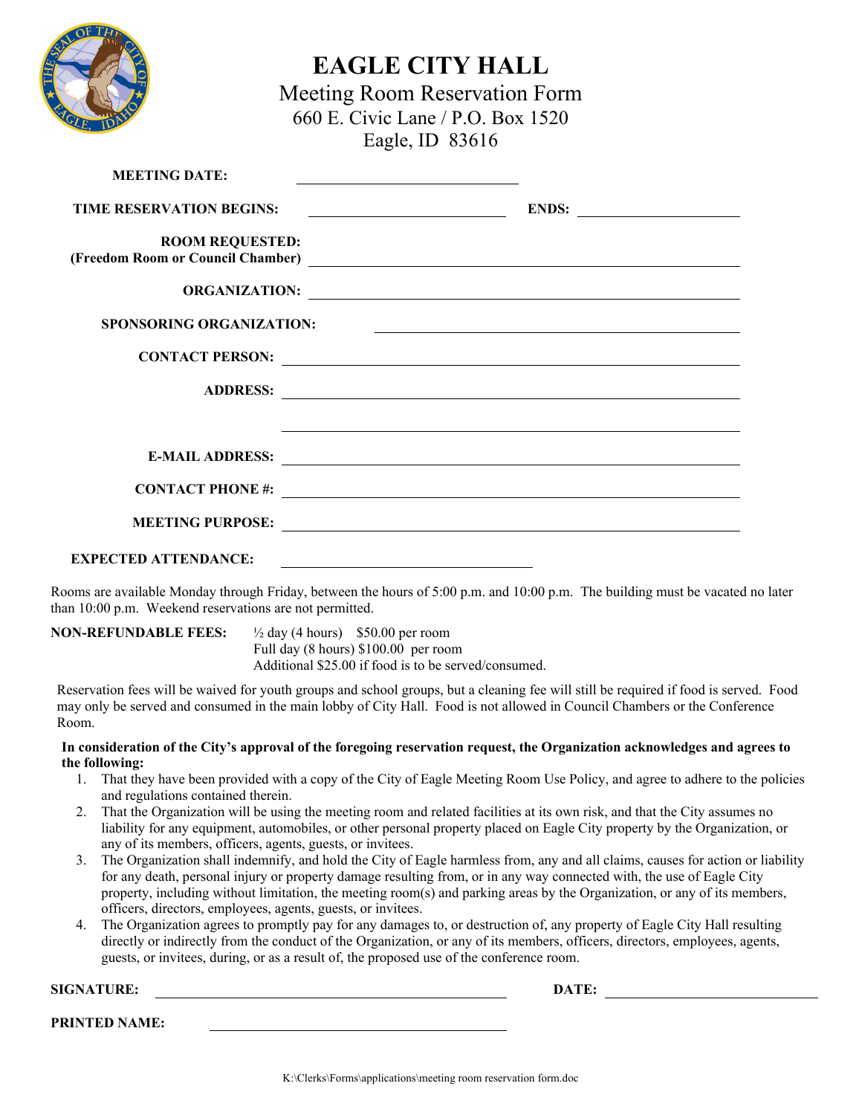

## **EAGLE CITY HALL**

Meeting Room Reservation Form 660 E. Civic Lane / P.O. Box 1520 Eagle, ID 83616

| <b>MEETING DATE:</b>            | <u> 1989 - Johann Stein, mars an de Brazilian (b. 1989)</u>                                                         |
|---------------------------------|---------------------------------------------------------------------------------------------------------------------|
| <b>TIME RESERVATION BEGINS:</b> | ENDS:<br><u> 1989 - Johann Barbara, martin a</u>                                                                    |
| <b>ROOM REQUESTED:</b>          |                                                                                                                     |
|                                 | ORGANIZATION:                                                                                                       |
| <b>SPONSORING ORGANIZATION:</b> | <u> 1989 - Johann Harry Barn, mars ar breithinn ar breithinn ar breithinn ar breithinn ar breithinn ar breithin</u> |
|                                 | CONTACT PERSON:                                                                                                     |
|                                 |                                                                                                                     |
|                                 |                                                                                                                     |
|                                 |                                                                                                                     |
|                                 |                                                                                                                     |
|                                 |                                                                                                                     |
| <b>EXPECTED ATTENDANCE:</b>     |                                                                                                                     |

Rooms are available Monday through Friday, between the hours of 5:00 p.m. and 10:00 p.m. The building must be vacated no later than 10:00 p.m. Weekend reservations are not permitted.

**NON-REFUNDABLE FEES:** ½ day (4 hours) \$50.00 per room Full day (8 hours) \$100.00 per room Additional \$25.00 if food is to be served/consumed.

Reservation fees will be waived for youth groups and school groups, but a cleaning fee will still be required if food is served. Food may only be served and consumed in the main lobby of City Hall. Food is not allowed in Council Chambers or the Conference Room.

## **In consideration of the City's approval of the foregoing reservation request, the Organization acknowledges and agrees to the following:**

- 1. That they have been provided with a copy of the City of Eagle Meeting Room Use Policy, and agree to adhere to the policies and regulations contained therein.
- 2. That the Organization will be using the meeting room and related facilities at its own risk, and that the City assumes no liability for any equipment, automobiles, or other personal property placed on Eagle City property by the Organization, or any of its members, officers, agents, guests, or invitees.
- 3. The Organization shall indemnify, and hold the City of Eagle harmless from, any and all claims, causes for action or liability for any death, personal injury or property damage resulting from, or in any way connected with, the use of Eagle City property, including without limitation, the meeting room(s) and parking areas by the Organization, or any of its members, officers, directors, employees, agents, guests, or invitees.
- 4. The Organization agrees to promptly pay for any damages to, or destruction of, any property of Eagle City Hall resulting directly or indirectly from the conduct of the Organization, or any of its members, officers, directors, employees, agents, guests, or invitees, during, or as a result of, the proposed use of the conference room.

**SIGNATURE: DATE:** 

**PRINTED NAME:**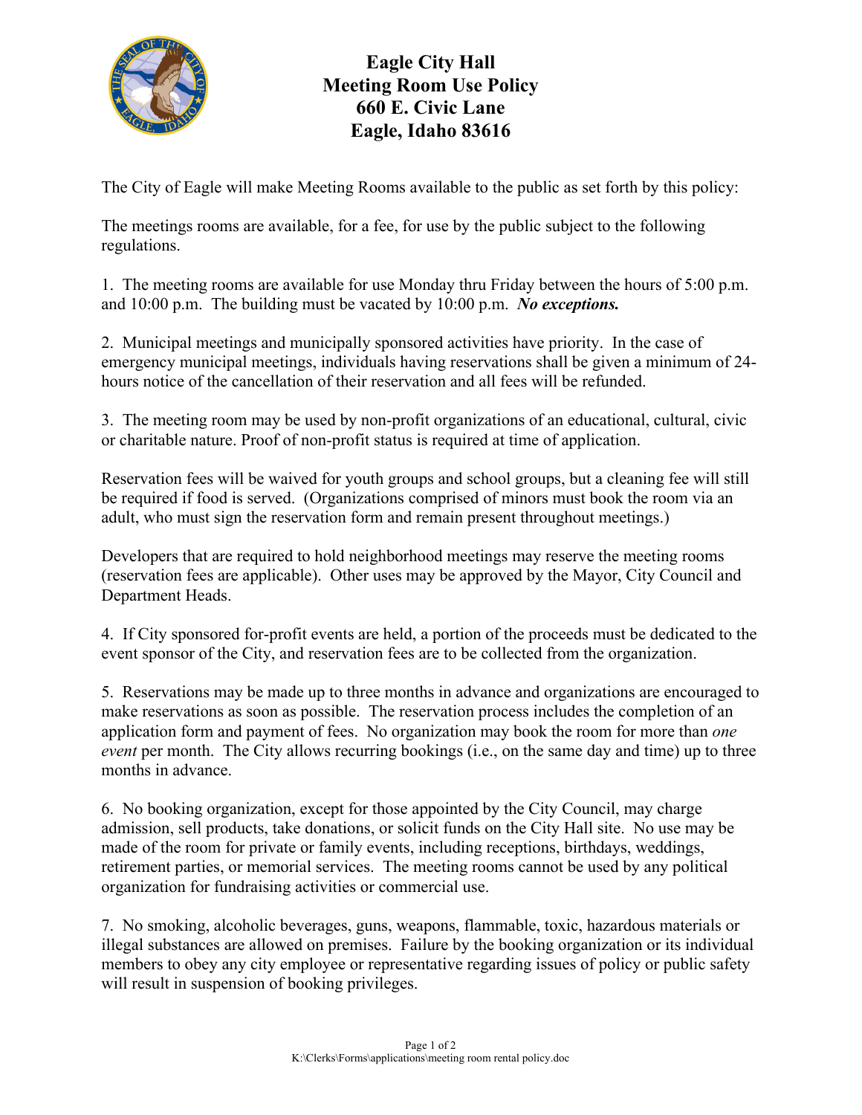

## **Eagle City Hall Meeting Room Use Policy 660 E. Civic Lane Eagle, Idaho 83616**

The City of Eagle will make Meeting Rooms available to the public as set forth by this policy:

The meetings rooms are available, for a fee, for use by the public subject to the following regulations.

1. The meeting rooms are available for use Monday thru Friday between the hours of 5:00 p.m. and 10:00 p.m. The building must be vacated by 10:00 p.m. *No exceptions.* 

2. Municipal meetings and municipally sponsored activities have priority. In the case of emergency municipal meetings, individuals having reservations shall be given a minimum of 24 hours notice of the cancellation of their reservation and all fees will be refunded.

3. The meeting room may be used by non-profit organizations of an educational, cultural, civic or charitable nature. Proof of non-profit status is required at time of application.

Reservation fees will be waived for youth groups and school groups, but a cleaning fee will still be required if food is served. (Organizations comprised of minors must book the room via an adult, who must sign the reservation form and remain present throughout meetings.)

Developers that are required to hold neighborhood meetings may reserve the meeting rooms (reservation fees are applicable). Other uses may be approved by the Mayor, City Council and Department Heads.

4. If City sponsored for-profit events are held, a portion of the proceeds must be dedicated to the event sponsor of the City, and reservation fees are to be collected from the organization.

5. Reservations may be made up to three months in advance and organizations are encouraged to make reservations as soon as possible. The reservation process includes the completion of an application form and payment of fees. No organization may book the room for more than *one event* per month. The City allows recurring bookings (i.e., on the same day and time) up to three months in advance.

6. No booking organization, except for those appointed by the City Council, may charge admission, sell products, take donations, or solicit funds on the City Hall site. No use may be made of the room for private or family events, including receptions, birthdays, weddings, retirement parties, or memorial services. The meeting rooms cannot be used by any political organization for fundraising activities or commercial use.

7. No smoking, alcoholic beverages, guns, weapons, flammable, toxic, hazardous materials or illegal substances are allowed on premises. Failure by the booking organization or its individual members to obey any city employee or representative regarding issues of policy or public safety will result in suspension of booking privileges.